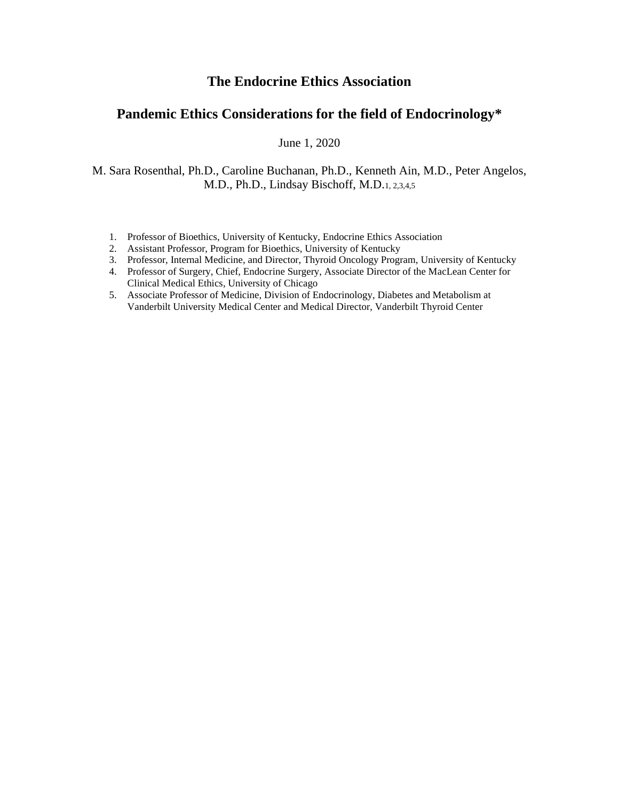# **The Endocrine Ethics Association**

## **Pandemic Ethics Considerations for the field of Endocrinology\***

#### June 1, 2020

#### M. Sara Rosenthal, Ph.D., Caroline Buchanan, Ph.D., Kenneth Ain, M.D., Peter Angelos, M.D., Ph.D., Lindsay Bischoff, M.D.1, 2,3,4,5

- 1. Professor of Bioethics, University of Kentucky, Endocrine Ethics Association
- 2. Assistant Professor, Program for Bioethics, University of Kentucky
- 3. Professor, Internal Medicine, and Director, Thyroid Oncology Program, University of Kentucky
- 4. Professor of Surgery, Chief, Endocrine Surgery, Associate Director of the MacLean Center for Clinical Medical Ethics, University of Chicago
- 5. Associate Professor of Medicine, Division of Endocrinology, Diabetes and Metabolism at Vanderbilt University Medical Center and Medical Director, Vanderbilt Thyroid Center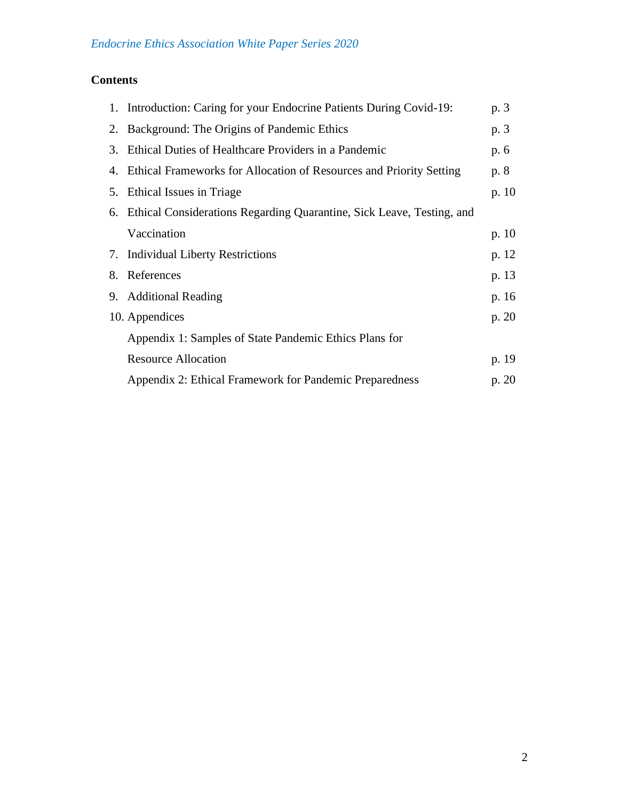# *Endocrine Ethics Association White Paper Series 2020*

# **Contents**

| 1. Introduction: Caring for your Endocrine Patients During Covid-19:     | p. 3  |
|--------------------------------------------------------------------------|-------|
| 2. Background: The Origins of Pandemic Ethics                            | p. 3  |
| 3. Ethical Duties of Healthcare Providers in a Pandemic                  | p. 6  |
| 4. Ethical Frameworks for Allocation of Resources and Priority Setting   | p. 8  |
| 5. Ethical Issues in Triage                                              | p. 10 |
| 6. Ethical Considerations Regarding Quarantine, Sick Leave, Testing, and |       |
| Vaccination                                                              | p. 10 |
| 7. Individual Liberty Restrictions                                       | p. 12 |
| 8. References                                                            | p. 13 |
| 9. Additional Reading                                                    | p. 16 |
| 10. Appendices                                                           | p. 20 |
| Appendix 1: Samples of State Pandemic Ethics Plans for                   |       |
| <b>Resource Allocation</b>                                               | p. 19 |
| Appendix 2: Ethical Framework for Pandemic Preparedness                  | p. 20 |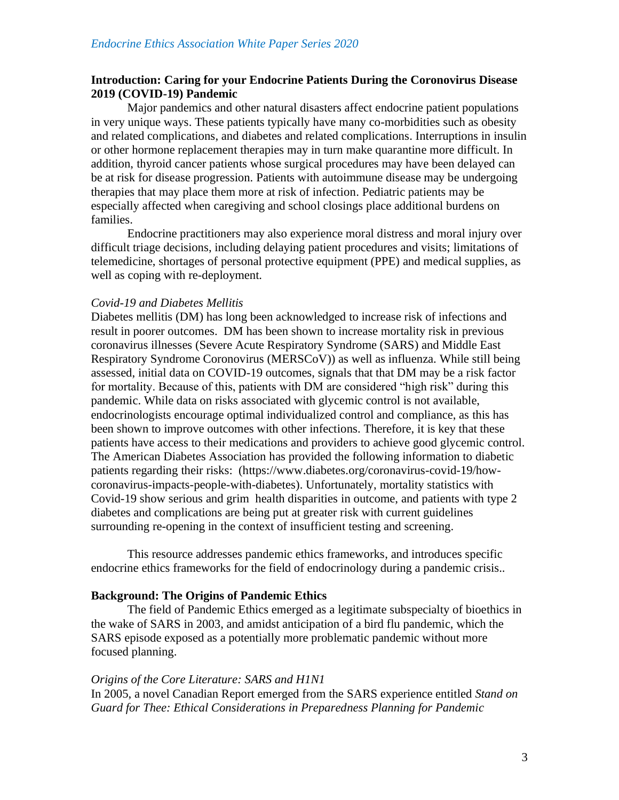## **Introduction: Caring for your Endocrine Patients During the Coronovirus Disease 2019 (COVID-19) Pandemic**

Major pandemics and other natural disasters affect endocrine patient populations in very unique ways. These patients typically have many co-morbidities such as obesity and related complications, and diabetes and related complications. Interruptions in insulin or other hormone replacement therapies may in turn make quarantine more difficult. In addition, thyroid cancer patients whose surgical procedures may have been delayed can be at risk for disease progression. Patients with autoimmune disease may be undergoing therapies that may place them more at risk of infection. Pediatric patients may be especially affected when caregiving and school closings place additional burdens on families.

Endocrine practitioners may also experience moral distress and moral injury over difficult triage decisions, including delaying patient procedures and visits; limitations of telemedicine, shortages of personal protective equipment (PPE) and medical supplies, as well as coping with re-deployment.

#### *Covid-19 and Diabetes Mellitis*

Diabetes mellitis (DM) has long been acknowledged to increase risk of infections and result in poorer outcomes. DM has been shown to increase mortality risk in previous coronavirus illnesses (Severe Acute Respiratory Syndrome (SARS) and Middle East Respiratory Syndrome Coronovirus (MERSCoV)) as well as influenza. While still being assessed, initial data on COVID-19 outcomes, signals that that DM may be a risk factor for mortality. Because of this, patients with DM are considered "high risk" during this pandemic. While data on risks associated with glycemic control is not available, endocrinologists encourage optimal individualized control and compliance, as this has been shown to improve outcomes with other infections. Therefore, it is key that these patients have access to their medications and providers to achieve good glycemic control. The American Diabetes Association has provided the following information to diabetic patients regarding their risks: [\(https://www.diabetes.org/coronavirus-covid-19/how](https://www.diabetes.org/coronavirus-covid-19/how-coronavirus-impacts-people-with-diabetes)[coronavirus-impacts-people-with-diabetes\)](https://www.diabetes.org/coronavirus-covid-19/how-coronavirus-impacts-people-with-diabetes). Unfortunately, mortality statistics with Covid-19 show serious and grim health disparities in outcome, and patients with type 2 diabetes and complications are being put at greater risk with current guidelines surrounding re-opening in the context of insufficient testing and screening.

This resource addresses pandemic ethics frameworks, and introduces specific endocrine ethics frameworks for the field of endocrinology during a pandemic crisis..

#### **Background: The Origins of Pandemic Ethics**

The field of Pandemic Ethics emerged as a legitimate subspecialty of bioethics in the wake of SARS in 2003, and amidst anticipation of a bird flu pandemic, which the SARS episode exposed as a potentially more problematic pandemic without more focused planning.

#### *Origins of the Core Literature: SARS and H1N1*

In 2005, a novel Canadian Report emerged from the SARS experience entitled *Stand on Guard for Thee: Ethical Considerations in Preparedness Planning for Pandemic*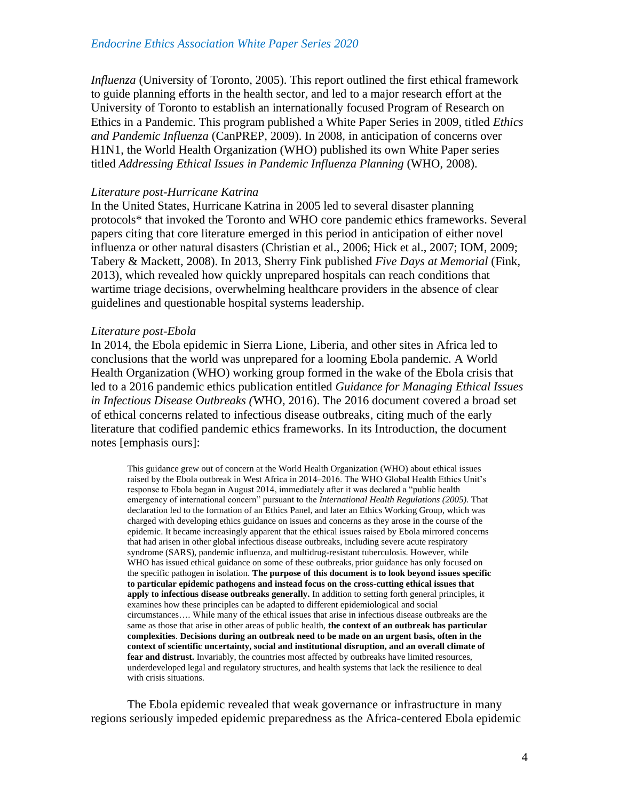*Influenza* (University of Toronto, 2005). This report outlined the first ethical framework to guide planning efforts in the health sector, and led to a major research effort at the University of Toronto to establish an internationally focused Program of Research on Ethics in a Pandemic. This program published a White Paper Series in 2009, titled *Ethics and Pandemic Influenza* (CanPREP, 2009). In 2008, in anticipation of concerns over H1N1, the World Health Organization (WHO) published its own White Paper series titled *Addressing Ethical Issues in Pandemic Influenza Planning* (WHO, 2008).

#### *Literature post-Hurricane Katrina*

In the United States, Hurricane Katrina in 2005 led to several disaster planning protocols\* that invoked the Toronto and WHO core pandemic ethics frameworks. Several papers citing that core literature emerged in this period in anticipation of either novel influenza or other natural disasters (Christian et al., 2006; Hick et al., 2007; IOM, 2009; Tabery & Mackett, 2008). In 2013, Sherry Fink published *Five Days at Memorial* (Fink, 2013), which revealed how quickly unprepared hospitals can reach conditions that wartime triage decisions, overwhelming healthcare providers in the absence of clear guidelines and questionable hospital systems leadership.

### *Literature post-Ebola*

In 2014, the Ebola epidemic in Sierra Lione, Liberia, and other sites in Africa led to conclusions that the world was unprepared for a looming Ebola pandemic. A World Health Organization (WHO) working group formed in the wake of the Ebola crisis that led to a 2016 pandemic ethics publication entitled *Guidance for Managing Ethical Issues in Infectious Disease Outbreaks (*WHO, 2016). The 2016 document covered a broad set of ethical concerns related to infectious disease outbreaks, citing much of the early literature that codified pandemic ethics frameworks. In its Introduction, the document notes [emphasis ours]:

This guidance grew out of concern at the World Health Organization (WHO) about ethical issues raised by the Ebola outbreak in West Africa in 2014–2016. The WHO Global Health Ethics Unit's response to Ebola began in August 2014, immediately after it was declared a "public health emergency of international concern" pursuant to the *International Health Regulations (2005).* That declaration led to the formation of an Ethics Panel, and later an Ethics Working Group, which was charged with developing ethics guidance on issues and concerns as they arose in the course of the epidemic. It became increasingly apparent that the ethical issues raised by Ebola mirrored concerns that had arisen in other global infectious disease outbreaks, including severe acute respiratory syndrome (SARS), pandemic influenza, and multidrug-resistant tuberculosis. However, while WHO has issued ethical guidance on some of these outbreaks, prior guidance has only focused on the specific pathogen in isolation. **The purpose of this document is to look beyond issues specific to particular epidemic pathogens and instead focus on the cross-cutting ethical issues that apply to infectious disease outbreaks generally.** In addition to setting forth general principles, it examines how these principles can be adapted to different epidemiological and social circumstances…. While many of the ethical issues that arise in infectious disease outbreaks are the same as those that arise in other areas of public health, **the context of an outbreak has particular complexities**. **Decisions during an outbreak need to be made on an urgent basis, often in the context of scientific uncertainty, social and institutional disruption, and an overall climate of fear and distrust.** Invariably, the countries most affected by outbreaks have limited resources, underdeveloped legal and regulatory structures, and health systems that lack the resilience to deal with crisis situations.

The Ebola epidemic revealed that weak governance or infrastructure in many regions seriously impeded epidemic preparedness as the Africa-centered Ebola epidemic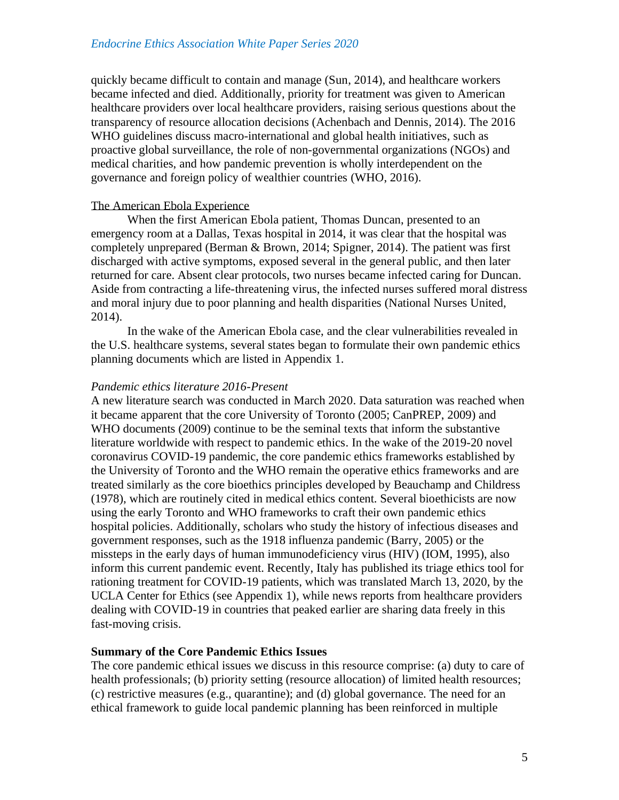quickly became difficult to contain and manage (Sun, 2014), and healthcare workers became infected and died. Additionally, priority for treatment was given to American healthcare providers over local healthcare providers, raising serious questions about the transparency of resource allocation decisions (Achenbach and Dennis, 2014). The 2016 WHO guidelines discuss macro-international and global health initiatives, such as proactive global surveillance, the role of non-governmental organizations (NGOs) and medical charities, and how pandemic prevention is wholly interdependent on the governance and foreign policy of wealthier countries (WHO, 2016).

#### The American Ebola Experience

When the first American Ebola patient, Thomas Duncan, presented to an emergency room at a Dallas, Texas hospital in 2014, it was clear that the hospital was completely unprepared (Berman & Brown, 2014; Spigner, 2014). The patient was first discharged with active symptoms, exposed several in the general public, and then later returned for care. Absent clear protocols, two nurses became infected caring for Duncan. Aside from contracting a life-threatening virus, the infected nurses suffered moral distress and moral injury due to poor planning and health disparities (National Nurses United, 2014).

In the wake of the American Ebola case, and the clear vulnerabilities revealed in the U.S. healthcare systems, several states began to formulate their own pandemic ethics planning documents which are listed in Appendix 1.

### *Pandemic ethics literature 2016-Present*

A new literature search was conducted in March 2020. Data saturation was reached when it became apparent that the core University of Toronto (2005; CanPREP, 2009) and WHO documents (2009) continue to be the seminal texts that inform the substantive literature worldwide with respect to pandemic ethics. In the wake of the 2019-20 novel coronavirus COVID-19 pandemic, the core pandemic ethics frameworks established by the University of Toronto and the WHO remain the operative ethics frameworks and are treated similarly as the core bioethics principles developed by Beauchamp and Childress (1978), which are routinely cited in medical ethics content. Several bioethicists are now using the early Toronto and WHO frameworks to craft their own pandemic ethics hospital policies. Additionally, scholars who study the history of infectious diseases and government responses, such as the 1918 influenza pandemic (Barry, 2005) or the missteps in the early days of human immunodeficiency virus (HIV) (IOM, 1995), also inform this current pandemic event. Recently, Italy has published its triage ethics tool for rationing treatment for COVID-19 patients, which was translated March 13, 2020, by the UCLA Center for Ethics (see Appendix 1), while news reports from healthcare providers dealing with COVID-19 in countries that peaked earlier are sharing data freely in this fast-moving crisis.

## **Summary of the Core Pandemic Ethics Issues**

The core pandemic ethical issues we discuss in this resource comprise: (a) duty to care of health professionals; (b) priority setting (resource allocation) of limited health resources; (c) restrictive measures (e.g., quarantine); and (d) global governance. The need for an ethical framework to guide local pandemic planning has been reinforced in multiple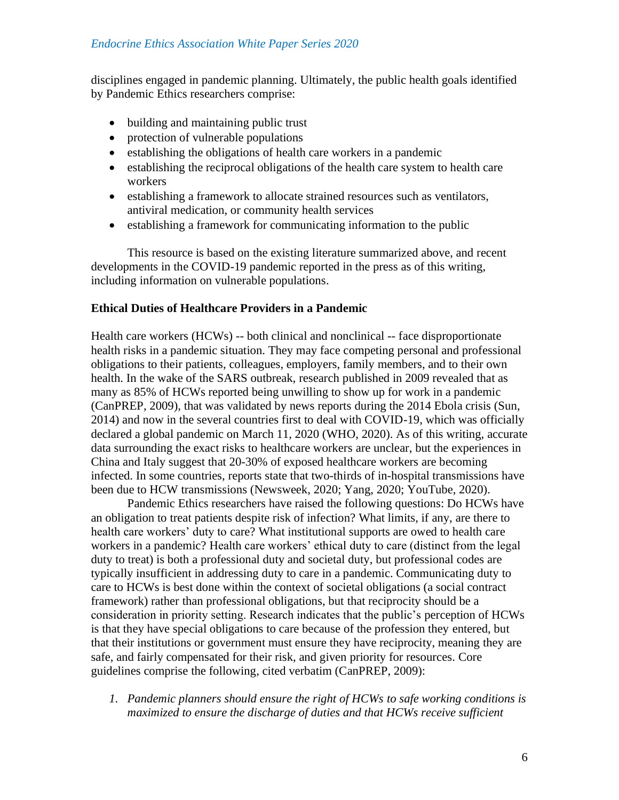disciplines engaged in pandemic planning. Ultimately, the public health goals identified by Pandemic Ethics researchers comprise:

- building and maintaining public trust
- protection of vulnerable populations
- establishing the obligations of health care workers in a pandemic
- establishing the reciprocal obligations of the health care system to health care workers
- establishing a framework to allocate strained resources such as ventilators, antiviral medication, or community health services
- establishing a framework for communicating information to the public

This resource is based on the existing literature summarized above, and recent developments in the COVID-19 pandemic reported in the press as of this writing, including information on vulnerable populations.

## **Ethical Duties of Healthcare Providers in a Pandemic**

Health care workers (HCWs) -- both clinical and nonclinical -- face disproportionate health risks in a pandemic situation. They may face competing personal and professional obligations to their patients, colleagues, employers, family members, and to their own health. In the wake of the SARS outbreak, research published in 2009 revealed that as many as 85% of HCWs reported being unwilling to show up for work in a pandemic (CanPREP, 2009), that was validated by news reports during the 2014 Ebola crisis (Sun, 2014) and now in the several countries first to deal with COVID-19, which was officially declared a global pandemic on March 11, 2020 (WHO, 2020). As of this writing, accurate data surrounding the exact risks to healthcare workers are unclear, but the experiences in China and Italy suggest that 20-30% of exposed healthcare workers are becoming infected. In some countries, reports state that two-thirds of in-hospital transmissions have been due to HCW transmissions (Newsweek, 2020; Yang, 2020; YouTube, 2020).

Pandemic Ethics researchers have raised the following questions: Do HCWs have an obligation to treat patients despite risk of infection? What limits, if any, are there to health care workers' duty to care? What institutional supports are owed to health care workers in a pandemic? Health care workers' ethical duty to care (distinct from the legal duty to treat) is both a professional duty and societal duty, but professional codes are typically insufficient in addressing duty to care in a pandemic. Communicating duty to care to HCWs is best done within the context of societal obligations (a social contract framework) rather than professional obligations, but that reciprocity should be a consideration in priority setting. Research indicates that the public's perception of HCWs is that they have special obligations to care because of the profession they entered, but that their institutions or government must ensure they have reciprocity, meaning they are safe, and fairly compensated for their risk, and given priority for resources. Core guidelines comprise the following, cited verbatim (CanPREP, 2009):

*1. Pandemic planners should ensure the right of HCWs to safe working conditions is maximized to ensure the discharge of duties and that HCWs receive sufficient*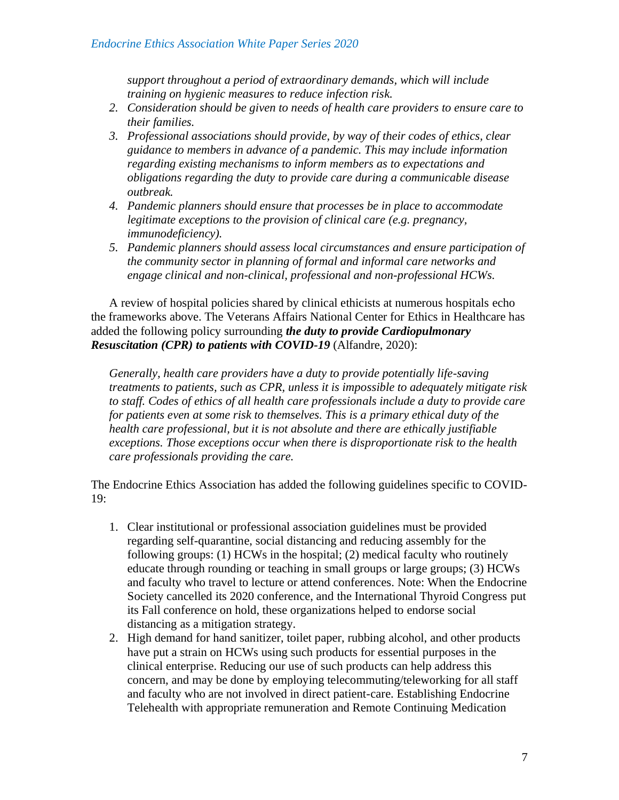*support throughout a period of extraordinary demands, which will include training on hygienic measures to reduce infection risk.*

- *2. Consideration should be given to needs of health care providers to ensure care to their families.*
- *3. Professional associations should provide, by way of their codes of ethics, clear guidance to members in advance of a pandemic. This may include information regarding existing mechanisms to inform members as to expectations and obligations regarding the duty to provide care during a communicable disease outbreak.*
- *4. Pandemic planners should ensure that processes be in place to accommodate legitimate exceptions to the provision of clinical care (e.g. pregnancy, immunodeficiency).*
- *5. Pandemic planners should assess local circumstances and ensure participation of the community sector in planning of formal and informal care networks and engage clinical and non-clinical, professional and non-professional HCWs.*

A review of hospital policies shared by clinical ethicists at numerous hospitals echo the frameworks above. The Veterans Affairs National Center for Ethics in Healthcare has added the following policy surrounding *the duty to provide Cardiopulmonary Resuscitation (CPR) to patients with COVID-19* (Alfandre, 2020):

*Generally, health care providers have a duty to provide potentially life-saving treatments to patients, such as CPR, unless it is impossible to adequately mitigate risk to staff. Codes of ethics of all health care professionals include a duty to provide care for patients even at some risk to themselves. This is a primary ethical duty of the health care professional, but it is not absolute and there are ethically justifiable exceptions. Those exceptions occur when there is disproportionate risk to the health care professionals providing the care.*

The Endocrine Ethics Association has added the following guidelines specific to COVID-19:

- 1. Clear institutional or professional association guidelines must be provided regarding self-quarantine, social distancing and reducing assembly for the following groups: (1) HCWs in the hospital; (2) medical faculty who routinely educate through rounding or teaching in small groups or large groups; (3) HCWs and faculty who travel to lecture or attend conferences. Note: When the Endocrine Society cancelled its 2020 conference, and the International Thyroid Congress put its Fall conference on hold, these organizations helped to endorse social distancing as a mitigation strategy.
- 2. High demand for hand sanitizer, toilet paper, rubbing alcohol, and other products have put a strain on HCWs using such products for essential purposes in the clinical enterprise. Reducing our use of such products can help address this concern, and may be done by employing telecommuting/teleworking for all staff and faculty who are not involved in direct patient-care. Establishing Endocrine Telehealth with appropriate remuneration and Remote Continuing Medication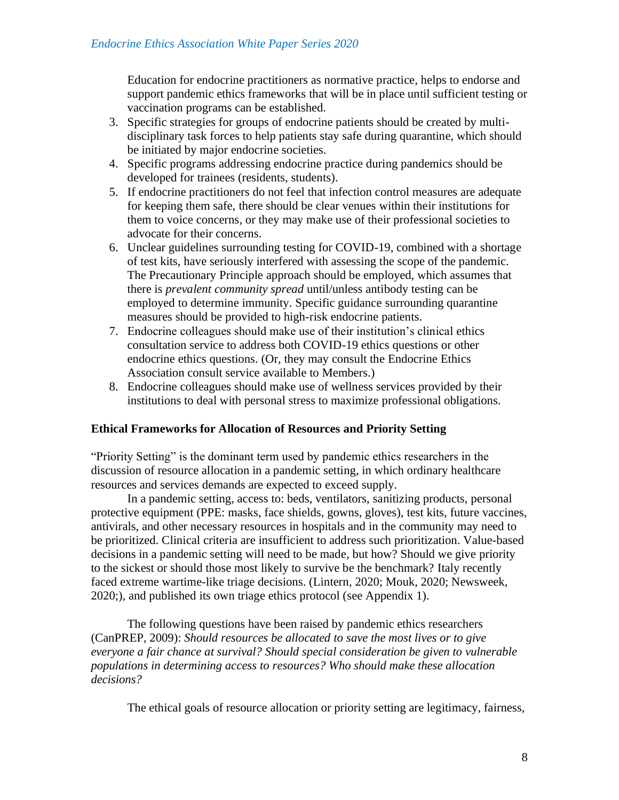Education for endocrine practitioners as normative practice, helps to endorse and support pandemic ethics frameworks that will be in place until sufficient testing or vaccination programs can be established.

- 3. Specific strategies for groups of endocrine patients should be created by multidisciplinary task forces to help patients stay safe during quarantine, which should be initiated by major endocrine societies.
- 4. Specific programs addressing endocrine practice during pandemics should be developed for trainees (residents, students).
- 5. If endocrine practitioners do not feel that infection control measures are adequate for keeping them safe, there should be clear venues within their institutions for them to voice concerns, or they may make use of their professional societies to advocate for their concerns.
- 6. Unclear guidelines surrounding testing for COVID-19, combined with a shortage of test kits, have seriously interfered with assessing the scope of the pandemic. The Precautionary Principle approach should be employed, which assumes that there is *prevalent community spread* until/unless antibody testing can be employed to determine immunity. Specific guidance surrounding quarantine measures should be provided to high-risk endocrine patients.
- 7. Endocrine colleagues should make use of their institution's clinical ethics consultation service to address both COVID-19 ethics questions or other endocrine ethics questions. (Or, they may consult the Endocrine Ethics Association consult service available to Members.)
- 8. Endocrine colleagues should make use of wellness services provided by their institutions to deal with personal stress to maximize professional obligations.

## **Ethical Frameworks for Allocation of Resources and Priority Setting**

"Priority Setting" is the dominant term used by pandemic ethics researchers in the discussion of resource allocation in a pandemic setting, in which ordinary healthcare resources and services demands are expected to exceed supply.

In a pandemic setting, access to: beds, ventilators, sanitizing products, personal protective equipment (PPE: masks, face shields, gowns, gloves), test kits, future vaccines, antivirals, and other necessary resources in hospitals and in the community may need to be prioritized. Clinical criteria are insufficient to address such prioritization. Value-based decisions in a pandemic setting will need to be made, but how? Should we give priority to the sickest or should those most likely to survive be the benchmark? Italy recently faced extreme wartime-like triage decisions. (Lintern, 2020; Mouk, 2020; Newsweek, 2020;), and published its own triage ethics protocol (see Appendix 1).

The following questions have been raised by pandemic ethics researchers (CanPREP, 2009): *Should resources be allocated to save the most lives or to give everyone a fair chance at survival? Should special consideration be given to vulnerable populations in determining access to resources? Who should make these allocation decisions?*

The ethical goals of resource allocation or priority setting are legitimacy, fairness,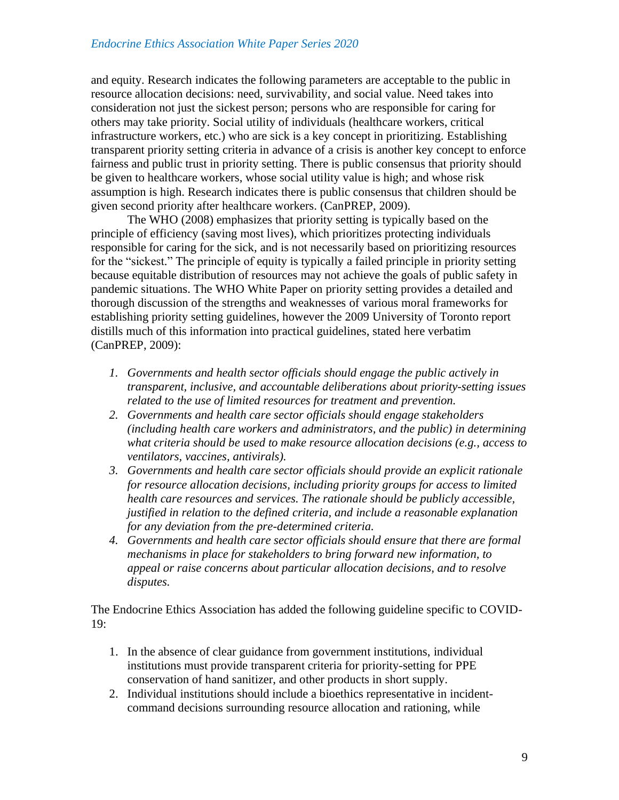and equity. Research indicates the following parameters are acceptable to the public in resource allocation decisions: need, survivability, and social value. Need takes into consideration not just the sickest person; persons who are responsible for caring for others may take priority. Social utility of individuals (healthcare workers, critical infrastructure workers, etc.) who are sick is a key concept in prioritizing. Establishing transparent priority setting criteria in advance of a crisis is another key concept to enforce fairness and public trust in priority setting. There is public consensus that priority should be given to healthcare workers, whose social utility value is high; and whose risk assumption is high. Research indicates there is public consensus that children should be given second priority after healthcare workers. (CanPREP, 2009).

The WHO (2008) emphasizes that priority setting is typically based on the principle of efficiency (saving most lives), which prioritizes protecting individuals responsible for caring for the sick, and is not necessarily based on prioritizing resources for the "sickest." The principle of equity is typically a failed principle in priority setting because equitable distribution of resources may not achieve the goals of public safety in pandemic situations. The WHO White Paper on priority setting provides a detailed and thorough discussion of the strengths and weaknesses of various moral frameworks for establishing priority setting guidelines, however the 2009 University of Toronto report distills much of this information into practical guidelines, stated here verbatim (CanPREP, 2009):

- *1. Governments and health sector officials should engage the public actively in transparent, inclusive, and accountable deliberations about priority-setting issues related to the use of limited resources for treatment and prevention.*
- *2. Governments and health care sector officials should engage stakeholders (including health care workers and administrators, and the public) in determining what criteria should be used to make resource allocation decisions (e.g., access to ventilators, vaccines, antivirals).*
- *3. Governments and health care sector officials should provide an explicit rationale for resource allocation decisions, including priority groups for access to limited health care resources and services. The rationale should be publicly accessible, justified in relation to the defined criteria, and include a reasonable explanation for any deviation from the pre-determined criteria.*
- *4. Governments and health care sector officials should ensure that there are formal mechanisms in place for stakeholders to bring forward new information, to appeal or raise concerns about particular allocation decisions, and to resolve disputes.*

The Endocrine Ethics Association has added the following guideline specific to COVID-19:

- 1. In the absence of clear guidance from government institutions, individual institutions must provide transparent criteria for priority-setting for PPE conservation of hand sanitizer, and other products in short supply.
- 2. Individual institutions should include a bioethics representative in incidentcommand decisions surrounding resource allocation and rationing, while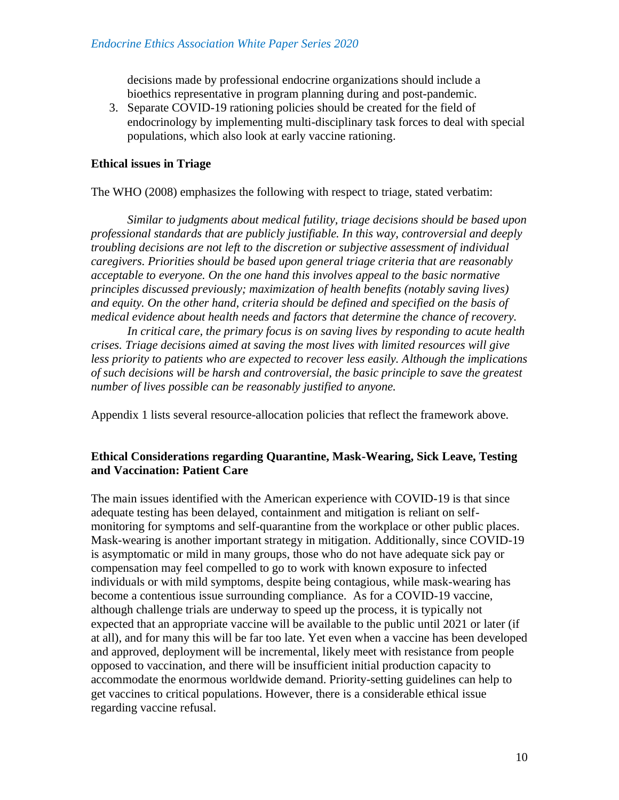decisions made by professional endocrine organizations should include a bioethics representative in program planning during and post-pandemic.

3. Separate COVID-19 rationing policies should be created for the field of endocrinology by implementing multi-disciplinary task forces to deal with special populations, which also look at early vaccine rationing.

### **Ethical issues in Triage**

The WHO (2008) emphasizes the following with respect to triage, stated verbatim:

*Similar to judgments about medical futility, triage decisions should be based upon professional standards that are publicly justifiable. In this way, controversial and deeply troubling decisions are not left to the discretion or subjective assessment of individual caregivers. Priorities should be based upon general triage criteria that are reasonably acceptable to everyone. On the one hand this involves appeal to the basic normative principles discussed previously; maximization of health benefits (notably saving lives) and equity. On the other hand, criteria should be defined and specified on the basis of medical evidence about health needs and factors that determine the chance of recovery.*

*In critical care, the primary focus is on saving lives by responding to acute health crises. Triage decisions aimed at saving the most lives with limited resources will give less priority to patients who are expected to recover less easily. Although the implications of such decisions will be harsh and controversial, the basic principle to save the greatest number of lives possible can be reasonably justified to anyone.*

Appendix 1 lists several resource-allocation policies that reflect the framework above.

## **Ethical Considerations regarding Quarantine, Mask-Wearing, Sick Leave, Testing and Vaccination: Patient Care**

The main issues identified with the American experience with COVID-19 is that since adequate testing has been delayed, containment and mitigation is reliant on selfmonitoring for symptoms and self-quarantine from the workplace or other public places. Mask-wearing is another important strategy in mitigation. Additionally, since COVID-19 is asymptomatic or mild in many groups, those who do not have adequate sick pay or compensation may feel compelled to go to work with known exposure to infected individuals or with mild symptoms, despite being contagious, while mask-wearing has become a contentious issue surrounding compliance. As for a COVID-19 vaccine, although challenge trials are underway to speed up the process, it is typically not expected that an appropriate vaccine will be available to the public until 2021 or later (if at all), and for many this will be far too late. Yet even when a vaccine has been developed and approved, deployment will be incremental, likely meet with resistance from people opposed to vaccination, and there will be insufficient initial production capacity to accommodate the enormous worldwide demand. Priority-setting guidelines can help to get vaccines to critical populations. However, there is a considerable ethical issue regarding vaccine refusal.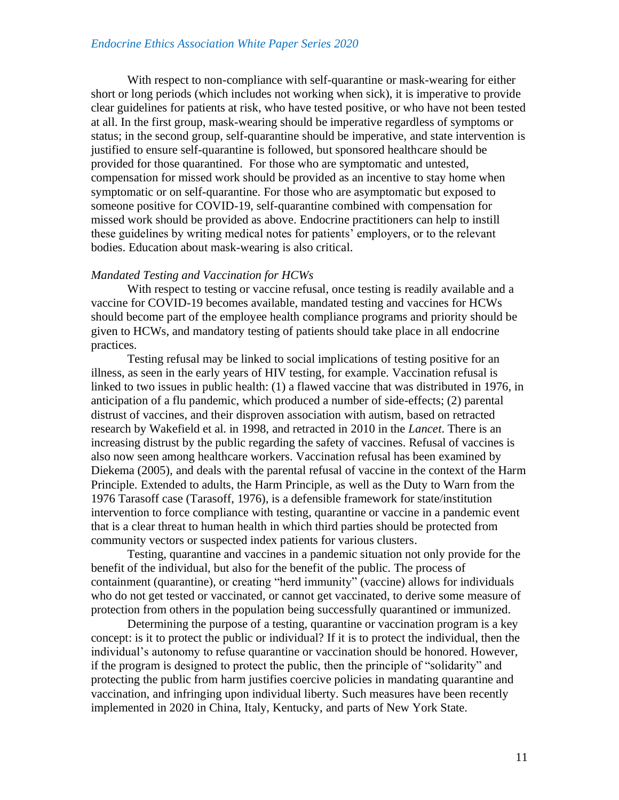#### *Endocrine Ethics Association White Paper Series 2020*

With respect to non-compliance with self-quarantine or mask-wearing for either short or long periods (which includes not working when sick), it is imperative to provide clear guidelines for patients at risk, who have tested positive, or who have not been tested at all. In the first group, mask-wearing should be imperative regardless of symptoms or status; in the second group, self-quarantine should be imperative, and state intervention is justified to ensure self-quarantine is followed, but sponsored healthcare should be provided for those quarantined. For those who are symptomatic and untested, compensation for missed work should be provided as an incentive to stay home when symptomatic or on self-quarantine. For those who are asymptomatic but exposed to someone positive for COVID-19, self-quarantine combined with compensation for missed work should be provided as above. Endocrine practitioners can help to instill these guidelines by writing medical notes for patients' employers, or to the relevant bodies. Education about mask-wearing is also critical.

#### *Mandated Testing and Vaccination for HCWs*

With respect to testing or vaccine refusal, once testing is readily available and a vaccine for COVID-19 becomes available, mandated testing and vaccines for HCWs should become part of the employee health compliance programs and priority should be given to HCWs, and mandatory testing of patients should take place in all endocrine practices.

Testing refusal may be linked to social implications of testing positive for an illness, as seen in the early years of HIV testing, for example. Vaccination refusal is linked to two issues in public health: (1) a flawed vaccine that was distributed in 1976, in anticipation of a flu pandemic, which produced a number of side-effects; (2) parental distrust of vaccines, and their disproven association with autism, based on retracted research by Wakefield et al. in 1998, and retracted in 2010 in the *Lancet*. There is an increasing distrust by the public regarding the safety of vaccines. Refusal of vaccines is also now seen among healthcare workers. Vaccination refusal has been examined by Diekema (2005), and deals with the parental refusal of vaccine in the context of the Harm Principle. Extended to adults, the Harm Principle, as well as the Duty to Warn from the 1976 Tarasoff case (Tarasoff, 1976), is a defensible framework for state/institution intervention to force compliance with testing, quarantine or vaccine in a pandemic event that is a clear threat to human health in which third parties should be protected from community vectors or suspected index patients for various clusters.

Testing, quarantine and vaccines in a pandemic situation not only provide for the benefit of the individual, but also for the benefit of the public. The process of containment (quarantine), or creating "herd immunity" (vaccine) allows for individuals who do not get tested or vaccinated, or cannot get vaccinated, to derive some measure of protection from others in the population being successfully quarantined or immunized.

Determining the purpose of a testing, quarantine or vaccination program is a key concept: is it to protect the public or individual? If it is to protect the individual, then the individual's autonomy to refuse quarantine or vaccination should be honored. However, if the program is designed to protect the public, then the principle of "solidarity" and protecting the public from harm justifies coercive policies in mandating quarantine and vaccination, and infringing upon individual liberty. Such measures have been recently implemented in 2020 in China, Italy, Kentucky, and parts of New York State.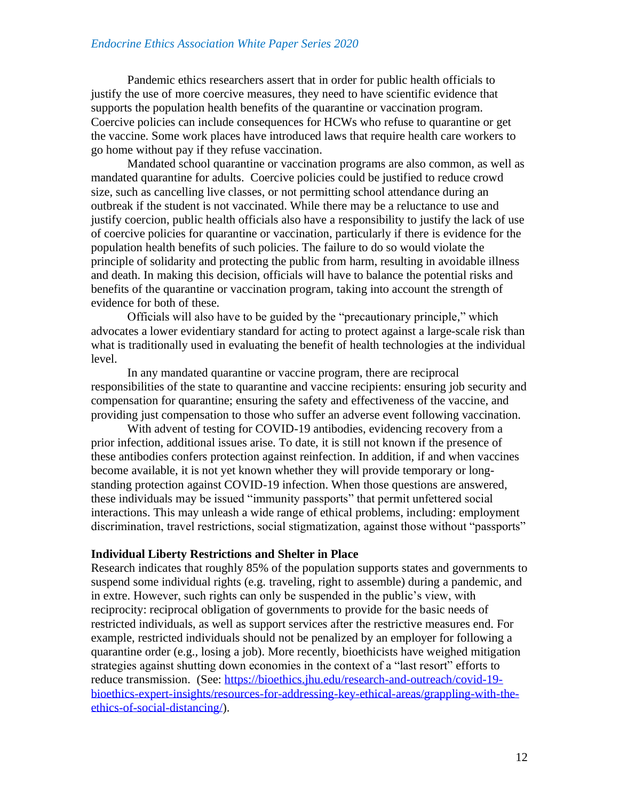### *Endocrine Ethics Association White Paper Series 2020*

Pandemic ethics researchers assert that in order for public health officials to justify the use of more coercive measures, they need to have scientific evidence that supports the population health benefits of the quarantine or vaccination program. Coercive policies can include consequences for HCWs who refuse to quarantine or get the vaccine. Some work places have introduced laws that require health care workers to go home without pay if they refuse vaccination.

Mandated school quarantine or vaccination programs are also common, as well as mandated quarantine for adults. Coercive policies could be justified to reduce crowd size, such as cancelling live classes, or not permitting school attendance during an outbreak if the student is not vaccinated. While there may be a reluctance to use and justify coercion, public health officials also have a responsibility to justify the lack of use of coercive policies for quarantine or vaccination, particularly if there is evidence for the population health benefits of such policies. The failure to do so would violate the principle of solidarity and protecting the public from harm, resulting in avoidable illness and death. In making this decision, officials will have to balance the potential risks and benefits of the quarantine or vaccination program, taking into account the strength of evidence for both of these.

Officials will also have to be guided by the "precautionary principle," which advocates a lower evidentiary standard for acting to protect against a large-scale risk than what is traditionally used in evaluating the benefit of health technologies at the individual level.

In any mandated quarantine or vaccine program, there are reciprocal responsibilities of the state to quarantine and vaccine recipients: ensuring job security and compensation for quarantine; ensuring the safety and effectiveness of the vaccine, and providing just compensation to those who suffer an adverse event following vaccination.

With advent of testing for COVID-19 antibodies, evidencing recovery from a prior infection, additional issues arise. To date, it is still not known if the presence of these antibodies confers protection against reinfection. In addition, if and when vaccines become available, it is not yet known whether they will provide temporary or longstanding protection against COVID-19 infection. When those questions are answered, these individuals may be issued "immunity passports" that permit unfettered social interactions. This may unleash a wide range of ethical problems, including: employment discrimination, travel restrictions, social stigmatization, against those without "passports"

#### **Individual Liberty Restrictions and Shelter in Place**

Research indicates that roughly 85% of the population supports states and governments to suspend some individual rights (e.g. traveling, right to assemble) during a pandemic, and in extre. However, such rights can only be suspended in the public's view, with reciprocity: reciprocal obligation of governments to provide for the basic needs of restricted individuals, as well as support services after the restrictive measures end. For example, restricted individuals should not be penalized by an employer for following a quarantine order (e.g., losing a job). More recently, bioethicists have weighed mitigation strategies against shutting down economies in the context of a "last resort" efforts to reduce transmission. (See: [https://bioethics.jhu.edu/research-and-outreach/covid-19](https://bioethics.jhu.edu/research-and-outreach/covid-19-bioethics-expert-insights/resources-for-addressing-key-ethical-areas/grappling-with-the-ethics-of-social-distancing/) [bioethics-expert-insights/resources-for-addressing-key-ethical-areas/grappling-with-the](https://bioethics.jhu.edu/research-and-outreach/covid-19-bioethics-expert-insights/resources-for-addressing-key-ethical-areas/grappling-with-the-ethics-of-social-distancing/)[ethics-of-social-distancing/\)](https://bioethics.jhu.edu/research-and-outreach/covid-19-bioethics-expert-insights/resources-for-addressing-key-ethical-areas/grappling-with-the-ethics-of-social-distancing/).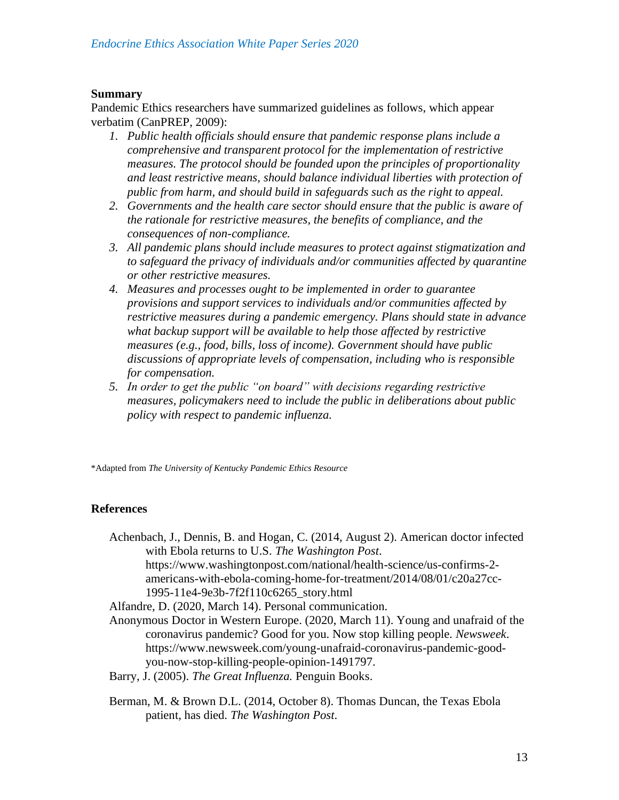## **Summary**

Pandemic Ethics researchers have summarized guidelines as follows, which appear verbatim (CanPREP, 2009):

- *1. Public health officials should ensure that pandemic response plans include a comprehensive and transparent protocol for the implementation of restrictive measures. The protocol should be founded upon the principles of proportionality and least restrictive means, should balance individual liberties with protection of public from harm, and should build in safeguards such as the right to appeal.*
- *2. Governments and the health care sector should ensure that the public is aware of the rationale for restrictive measures, the benefits of compliance, and the consequences of non-compliance.*
- *3. All pandemic plans should include measures to protect against stigmatization and to safeguard the privacy of individuals and/or communities affected by quarantine or other restrictive measures.*
- *4. Measures and processes ought to be implemented in order to guarantee provisions and support services to individuals and/or communities affected by restrictive measures during a pandemic emergency. Plans should state in advance what backup support will be available to help those affected by restrictive measures (e.g., food, bills, loss of income). Government should have public discussions of appropriate levels of compensation, including who is responsible for compensation.*
- *5. In order to get the public "on board" with decisions regarding restrictive measures, policymakers need to include the public in deliberations about public policy with respect to pandemic influenza.*

\*Adapted from *The University of Kentucky Pandemic Ethics Resource*

## **References**

Achenbach, J., Dennis, B. and Hogan, C. (2014, August 2). American doctor infected with Ebola returns to U.S. *The Washington Post*. [https://www.washingtonpost.com/national/health-science/us-confirms-2](https://www.washingtonpost.com/national/health-science/us-confirms-2-americans-with-ebola-coming-home-for-treatment/2014/08/01/c20a27cc-1995-11e4-9e3b-7f2f110c6265_story.html) [americans-with-ebola-coming-home-for-treatment/2014/08/01/c20a27cc-](https://www.washingtonpost.com/national/health-science/us-confirms-2-americans-with-ebola-coming-home-for-treatment/2014/08/01/c20a27cc-1995-11e4-9e3b-7f2f110c6265_story.html)[1995-11e4-9e3b-7f2f110c6265\\_story.html](https://www.washingtonpost.com/national/health-science/us-confirms-2-americans-with-ebola-coming-home-for-treatment/2014/08/01/c20a27cc-1995-11e4-9e3b-7f2f110c6265_story.html)

Alfandre, D. (2020, March 14). Personal communication.

- Anonymous Doctor in Western Europe. (2020, March 11). Young and unafraid of the coronavirus pandemic? Good for you. Now stop killing people. *Newsweek*. [https://www.newsweek.com/young-unafraid-coronavirus-pandemic-good](https://www.newsweek.com/young-unafraid-coronavirus-pandemic-good-you-now-stop-killing-people-opinion-1491797)[you-now-stop-killing-people-opinion-1491797.](https://www.newsweek.com/young-unafraid-coronavirus-pandemic-good-you-now-stop-killing-people-opinion-1491797)
- Barry, J. (2005). *The Great Influenza.* Penguin Books.
- Berman, M. & Brown D.L. (2014, October 8). Thomas Duncan, the Texas Ebola patient, has died. *The Washington Post*.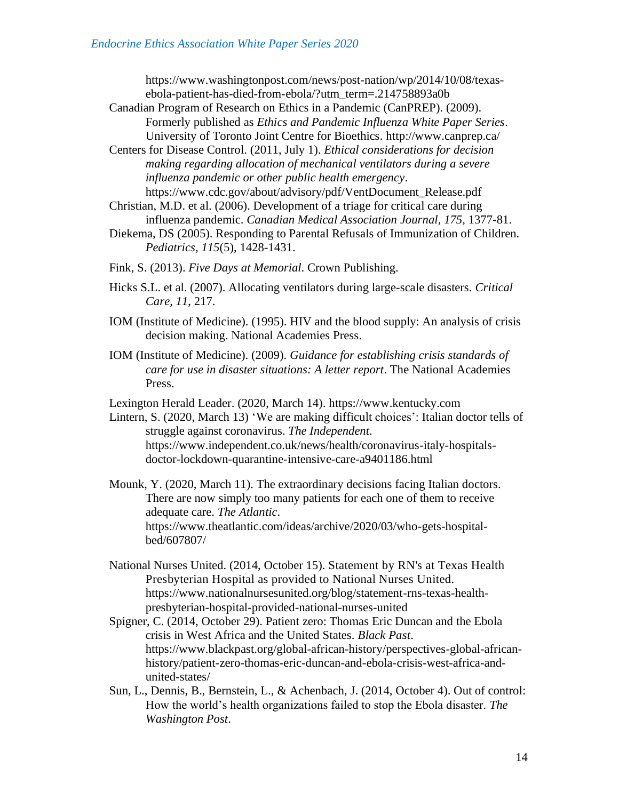[https://www.washingtonpost.com/news/post-nation/wp/2014/10/08/texas](https://www.washingtonpost.com/news/post-nation/wp/2014/10/08/texas-ebola-patient-has-died-from-ebola/?utm_term=.214758893a0b)[ebola-patient-has-died-from-ebola/?utm\\_term=.214758893a0b](https://www.washingtonpost.com/news/post-nation/wp/2014/10/08/texas-ebola-patient-has-died-from-ebola/?utm_term=.214758893a0b)

- Canadian Program of Research on Ethics in a Pandemic (CanPREP). (2009). Formerly published as *Ethics and Pandemic Influenza White Paper Series*. University of Toronto Joint Centre for Bioethics. http://www.canprep.ca/
- Centers for Disease Control. (2011, July 1). *Ethical considerations for decision making regarding allocation of mechanical ventilators during a severe influenza pandemic or other public health emergency*. https://www.cdc.gov/about/advisory/pdf/VentDocument\_Release.pdf
- Christian, M.D. et al. (2006). Development of a triage for critical care during influenza pandemic. *Canadian Medical Association Journal, 175*, 1377-81.
- Diekema, DS (2005). Responding to Parental Refusals of Immunization of Children. *Pediatrics, 115*(5), 1428-1431.
- Fink, S. (2013). *Five Days at Memorial*. Crown Publishing.
- Hicks S.L. et al. (2007). Allocating ventilators during large-scale disasters. *Critical Care, 11*, 217.
- IOM (Institute of Medicine). (1995). HIV and the blood supply: An analysis of crisis decision making. National Academies Press.
- IOM (Institute of Medicine). (2009). *Guidance for establishing crisis standards of care for use in disaster situations: A letter report*. The National Academies Press.
- Lexington Herald Leader. (2020, March 14). [https://www.kentucky.com](https://nam04.safelinks.protection.outlook.com/?url=https%3A%2F%2Fwww.kentucky.com%2F&data=02%7C01%7Cm.sararosenthal%40uky.edu%7C45d7b26d533044c7544108d7c87afabc%7C2b30530b69b64457b818481cb53d42ae%7C0%7C0%7C637198303131623178&sdata=2zbKBOiaXuIlwrWNdzOxe3M4iJcNF4XM7%2FY9v5Gz0Mc%3D&reserved=0)
- Lintern, S. (2020, March 13) 'We are making difficult choices': Italian doctor tells of struggle against coronavirus. *The Independent*. [https://www.independent.co.uk/news/health/coronavirus-italy-hospitals](https://www.independent.co.uk/news/health/coronavirus-italy-hospitals-doctor-lockdown-quarantine-intensive-care-a9401186.html)[doctor-lockdown-quarantine-intensive-care-a9401186.html](https://www.independent.co.uk/news/health/coronavirus-italy-hospitals-doctor-lockdown-quarantine-intensive-care-a9401186.html)
- Mounk, Y. (2020, March 11). The extraordinary decisions facing Italian doctors. There are now simply too many patients for each one of them to receive adequate care. *The Atlantic*. [https://www.theatlantic.com/ideas/archive/2020/03/who-gets-hospital](https://www.theatlantic.com/ideas/archive/2020/03/who-gets-hospital-bed/607807/)[bed/607807/](https://www.theatlantic.com/ideas/archive/2020/03/who-gets-hospital-bed/607807/)
- National Nurses United. (2014, October 15). Statement by RN's at Texas Health Presbyterian Hospital as provided to National Nurses United. [https://www.nationalnursesunited.org/blog/statement-rns-texas-health](https://www.nationalnursesunited.org/blog/statement-rns-texas-health-presbyterian-hospital-provided-national-nurses-united)[presbyterian-hospital-provided-national-nurses-united](https://www.nationalnursesunited.org/blog/statement-rns-texas-health-presbyterian-hospital-provided-national-nurses-united)
- Spigner, C. (2014, October 29). Patient zero: Thomas Eric Duncan and the Ebola crisis in West Africa and the United States. *Black Past*. [https://www.blackpast.org/global-african-history/perspectives-global-african](https://www.blackpast.org/global-african-history/perspectives-global-african-history/patient-zero-thomas-eric-duncan-and-ebola-crisis-west-africa-and-united-states/))[history/patient-zero-thomas-eric-duncan-and-ebola-crisis-west-africa-and](https://www.blackpast.org/global-african-history/perspectives-global-african-history/patient-zero-thomas-eric-duncan-and-ebola-crisis-west-africa-and-united-states/))[united-states/](https://www.blackpast.org/global-african-history/perspectives-global-african-history/patient-zero-thomas-eric-duncan-and-ebola-crisis-west-africa-and-united-states/))
- Sun, L., Dennis, B., Bernstein, L., & Achenbach, J. (2014, October 4). Out of control: How the world's health organizations failed to stop the Ebola disaster. *The Washington Post*.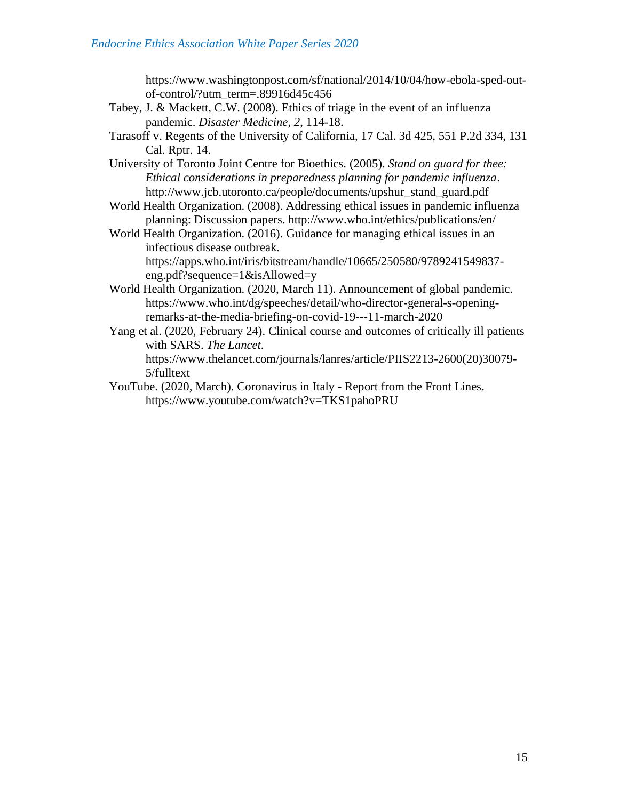[https://www.washingtonpost.com/sf/national/2014/10/04/how-ebola-sped-out](https://www.washingtonpost.com/sf/national/2014/10/04/how-ebola-sped-out-of-control/?utm_term=.89916d45c456)[of-control/?utm\\_term=.89916d45c456](https://www.washingtonpost.com/sf/national/2014/10/04/how-ebola-sped-out-of-control/?utm_term=.89916d45c456)

- Tabey, J. & Mackett, C.W. (2008). Ethics of triage in the event of an influenza pandemic. *Disaster Medicine, 2*, 114-18.
- Tarasoff v. Regents of the University of California, 17 Cal. 3d 425, 551 P.2d 334, 131 Cal. Rptr. 14.
- University of Toronto Joint Centre for Bioethics. (2005). *Stand on guard for thee: Ethical considerations in preparedness planning for pandemic influenza*. http://www.jcb.utoronto.ca/people/documents/upshur\_stand\_guard.pdf
- World Health Organization. (2008). Addressing ethical issues in pandemic influenza planning: Discussion papers.<http://www.who.int/ethics/publications/en/>
- World Health Organization. (2016). Guidance for managing ethical issues in an infectious disease outbreak.

[https://apps.who.int/iris/bitstream/handle/10665/250580/9789241549837](https://apps.who.int/iris/bitstream/handle/10665/250580/9789241549837-eng.pdf?sequence=1&isAllowed=y) [eng.pdf?sequence=1&isAllowed=y](https://apps.who.int/iris/bitstream/handle/10665/250580/9789241549837-eng.pdf?sequence=1&isAllowed=y)

- World Health Organization. (2020, March 11). Announcement of global pandemic. [https://www.who.int/dg/speeches/detail/who-director-general-s-opening](https://www.who.int/dg/speeches/detail/who-director-general-s-opening-remarks-at-the-media-briefing-on-covid-19---11-march-2020)[remarks-at-the-media-briefing-on-covid-19---11-march-2020](https://www.who.int/dg/speeches/detail/who-director-general-s-opening-remarks-at-the-media-briefing-on-covid-19---11-march-2020)
- Yang et al. (2020, February 24). Clinical course and outcomes of critically ill patients with SARS. *The Lancet*. [https://www.thelancet.com/journals/lanres/article/PIIS2213-2600\(20\)30079-](https://www.thelancet.com/journals/lanres/article/PIIS2213-2600(20)30079-5/fulltext) [5/fulltext](https://www.thelancet.com/journals/lanres/article/PIIS2213-2600(20)30079-5/fulltext)
- YouTube. (2020, March). Coronavirus in Italy Report from the Front Lines. https://www.youtube.com/watch?v=TKS1pahoPRU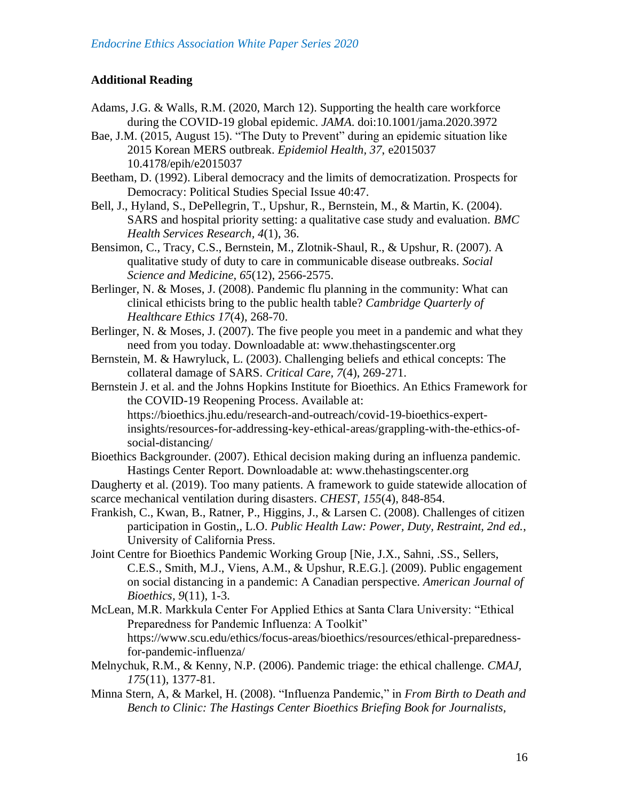## **Additional Reading**

- Adams, J.G. & Walls, R.M. (2020, March 12). Supporting the health care workforce during the COVID-19 global epidemic. *JAMA*. doi:10.1001/jama.2020.3972
- Bae, J.M. (2015, August 15). "The Duty to Prevent" during an epidemic situation like 2015 Korean MERS outbreak. *Epidemiol Health, 37*, e2015037 10.4178/epih/e2015037
- Beetham, D. (1992). Liberal democracy and the limits of democratization. Prospects for Democracy: Political Studies Special Issue 40:47.
- Bell, J., Hyland, S., DePellegrin, T., Upshur, R., Bernstein, M., & Martin, K. (2004). SARS and hospital priority setting: a qualitative case study and evaluation. *BMC Health Services Research, 4*(1), 36.
- Bensimon, C., Tracy, C.S., Bernstein, M., Zlotnik-Shaul, R., & Upshur, R. (2007). A qualitative study of duty to care in communicable disease outbreaks. *Social Science and Medicine, 65*(12), 2566-2575.
- Berlinger, N. & Moses, J. (2008). Pandemic flu planning in the community: What can clinical ethicists bring to the public health table? *Cambridge Quarterly of Healthcare Ethics 17*(4), 268-70.
- Berlinger, N. & Moses, J. (2007). The five people you meet in a pandemic and what they need from you today. Downloadable at: www.thehastingscenter.org
- Bernstein, M. & Hawryluck, L. (2003). Challenging beliefs and ethical concepts: The collateral damage of SARS. *Critical Care, 7*(4), 269-271.

Bernstein J. et al. and the Johns Hopkins Institute for Bioethics. An Ethics Framework for the COVID-19 Reopening Process. Available at: https://bioethics.jhu.edu/research-and-outreach/covid-19-bioethics-expertinsights/resources-for-addressing-key-ethical-areas/grappling-with-the-ethics-ofsocial-distancing/

Bioethics Backgrounder. (2007). Ethical decision making during an influenza pandemic. Hastings Center Report. Downloadable at: www.thehastingscenter.org

Daugherty et al. (2019). Too many patients. A framework to guide statewide allocation of scarce mechanical ventilation during disasters. *CHEST, 155*(4), 848-854.

- Frankish, C., Kwan, B., Ratner, P., Higgins, J., & Larsen C. (2008). Challenges of citizen participation in Gostin,, L.O. *Public Health Law: Power, Duty, Restraint, 2nd ed.*, University of California Press.
- Joint Centre for Bioethics Pandemic Working Group [Nie, J.X., Sahni, .SS., Sellers, C.E.S., Smith, M.J., Viens, A.M., & Upshur, R.E.G.]. (2009). Public engagement on social distancing in a pandemic: A Canadian perspective. *American Journal of Bioethics, 9*(11), 1-3.
- McLean, M.R. Markkula Center For Applied Ethics at Santa Clara University: "Ethical Preparedness for Pandemic Influenza: A Toolkit" [https://www.scu.edu/ethics/focus-areas/bioethics/resources/ethical-preparedness](https://www.scu.edu/ethics/focus-areas/bioethics/resources/ethical-preparedness-for-pandemic-influenza/)[for-pandemic-influenza/](https://www.scu.edu/ethics/focus-areas/bioethics/resources/ethical-preparedness-for-pandemic-influenza/)
- Melnychuk, R.M., & Kenny, N.P. (2006). Pandemic triage: the ethical challenge. *CMAJ, 175*(11), 1377-81.
- Minna Stern, A, & Markel, H. (2008). "Influenza Pandemic," in *From Birth to Death and Bench to Clinic: The Hastings Center Bioethics Briefing Book for Journalists,*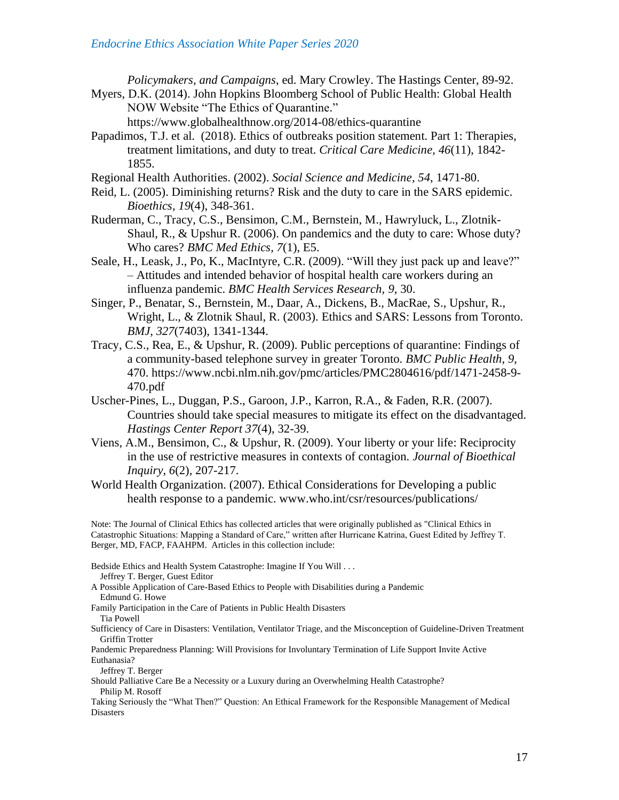*Policymakers, and Campaigns*, ed. Mary Crowley. The Hastings Center, 89-92.

Myers, D.K. (2014). John Hopkins Bloomberg School of Public Health: Global Health NOW Website "The Ethics of Quarantine."

<https://www.globalhealthnow.org/2014-08/ethics-quarantine>

- Papadimos, T.J. et al. (2018). Ethics of outbreaks position statement. Part 1: Therapies, treatment limitations, and duty to treat. *Critical Care Medicine, 46*(11), 1842- 1855.
- Regional Health Authorities. (2002). *Social Science and Medicine, 54*, 1471-80.
- Reid, L. (2005). Diminishing returns? Risk and the duty to care in the SARS epidemic. *Bioethics, 19*(4), 348-361.
- Ruderman, C., Tracy, C.S., Bensimon, C.M., Bernstein, M., Hawryluck, L., Zlotnik-Shaul, R., & Upshur R. (2006). On pandemics and the duty to care: Whose duty? Who cares? *BMC Med Ethics, 7*(1), E5.
- Seale, H., Leask, J., Po, K., MacIntyre, C.R. (2009). "Will they just pack up and leave?" – Attitudes and intended behavior of hospital health care workers during an influenza pandemic. *BMC Health Services Research, 9*, 30.
- Singer, P., Benatar, S., Bernstein, M., Daar, A., Dickens, B., MacRae, S., Upshur, R., Wright, L., & Zlotnik Shaul, R. (2003). Ethics and SARS: Lessons from Toronto. *BMJ, 327*(7403), 1341-1344.
- Tracy, C.S., Rea, E., & Upshur, R. (2009). Public perceptions of quarantine: Findings of a community-based telephone survey in greater Toronto. *BMC Public Health, 9*, 470. https://www.ncbi.nlm.nih.gov/pmc/articles/PMC2804616/pdf/1471-2458-9- 470.pdf
- Uscher-Pines, L., Duggan, P.S., Garoon, J.P., Karron, R.A., & Faden, R.R. (2007). Countries should take special measures to mitigate its effect on the disadvantaged. *Hastings Center Report 37*(4), 32-39.
- Viens, A.M., Bensimon, C., & Upshur, R. (2009). Your liberty or your life: Reciprocity in the use of restrictive measures in contexts of contagion. *Journal of Bioethical Inquiry, 6*(2), 207-217.
- World Health Organization. (2007). Ethical Considerations for Developing a public health response to a pandemic. [www.who.int/csr/resources/publications/](http://www.who.int/csr/resources/publications/)

Note: The Journal of Clinical Ethics has collected articles that were originally published as "Clinical Ethics in Catastrophic Situations: Mapping a Standard of Care," written after Hurricane Katrina, Guest Edited by Jeffrey T. Berger, MD, FACP, FAAHPM. Articles in this collection include:

Bedside Ethics and Health System Catastrophe: Imagine If You Will . . .

Jeffrey T. Berger, Guest Editor

- A Possible Application of Care-Based Ethics to People with Disabilities during a Pandemic Edmund G. Howe
- Family Participation in the Care of Patients in Public Health Disasters Tia Powell
- Sufficiency of Care in Disasters: Ventilation, Ventilator Triage, and the Misconception of Guideline-Driven Treatment Griffin Trotter

Pandemic Preparedness Planning: Will Provisions for Involuntary Termination of Life Support Invite Active Euthanasia?

Jeffrey T. Berger

Should Palliative Care Be a Necessity or a Luxury during an Overwhelming Health Catastrophe? Philip M. Rosoff

Taking Seriously the "What Then?" Question: An Ethical Framework for the Responsible Management of Medical **Disasters**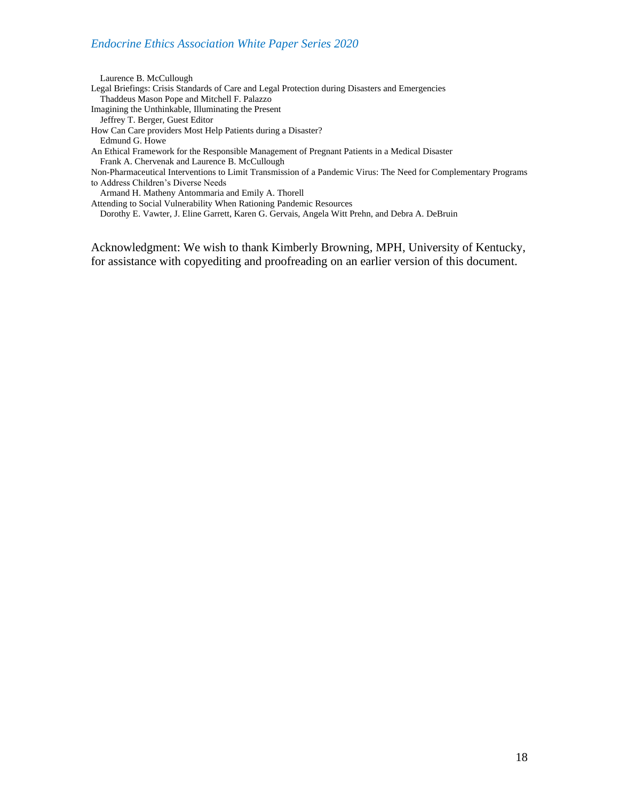#### *Endocrine Ethics Association White Paper Series 2020*

Laurence B. McCullough

Legal Briefings: Crisis Standards of Care and Legal Protection during Disasters and Emergencies

Thaddeus Mason Pope and Mitchell F. Palazzo

Imagining the Unthinkable, Illuminating the Present

Jeffrey T. Berger, Guest Editor

How Can Care providers Most Help Patients during a Disaster?

Edmund G. Howe

An Ethical Framework for the Responsible Management of Pregnant Patients in a Medical Disaster Frank A. Chervenak and Laurence B. McCullough

Non-Pharmaceutical Interventions to Limit Transmission of a Pandemic Virus: The Need for Complementary Programs to Address Children's Diverse Needs

Armand H. Matheny Antommaria and Emily A. Thorell

Attending to Social Vulnerability When Rationing Pandemic Resources

Dorothy E. Vawter, J. Eline Garrett, Karen G. Gervais, Angela Witt Prehn, and Debra A. DeBruin

Acknowledgment: We wish to thank Kimberly Browning, MPH, University of Kentucky, for assistance with copyediting and proofreading on an earlier version of this document.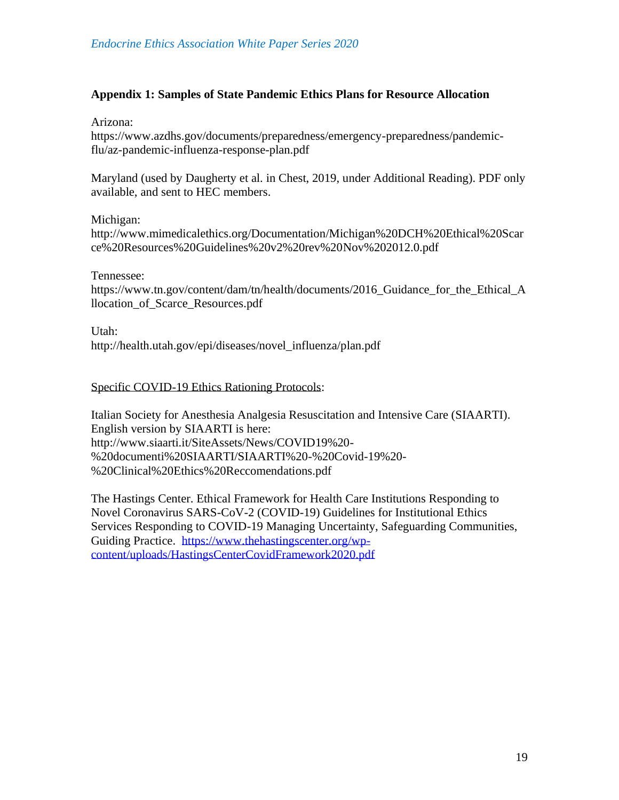## **Appendix 1: Samples of State Pandemic Ethics Plans for Resource Allocation**

Arizona:

[https://www.azdhs.gov/documents/preparedness/emergency-preparedness/pandemic](https://www.azdhs.gov/documents/preparedness/emergency-preparedness/pandemic-flu/az-pandemic-influenza-response-plan.pdf)[flu/az-pandemic-influenza-response-plan.pdf](https://www.azdhs.gov/documents/preparedness/emergency-preparedness/pandemic-flu/az-pandemic-influenza-response-plan.pdf)

Maryland (used by Daugherty et al. in Chest, 2019, under Additional Reading). PDF only available, and sent to HEC members.

## Michigan:

[http://www.mimedicalethics.org/Documentation/Michigan%20DCH%20Ethical%20Scar](https://nam04.safelinks.protection.outlook.com/?url=http%3A%2F%2Fwww.mimedicalethics.org%2FDocumentation%2FMichigan%2520DCH%2520Ethical%2520Scarce%2520Resources%2520Guidelines%2520v2%2520rev%2520Nov%25202012.0.pdf&data=02%7C01%7Cm.sararosenthal%40uky.edu%7Cad24a07812ca47c0c99c08d7c77cd309%7C2b30530b69b64457b818481cb53d42ae%7C0%7C1%7C637197211242820315&sdata=ox5XyRp9flshLQwWrizStywADXrcAlcn%2BWgHqsHd9VQ%3D&reserved=0) [ce%20Resources%20Guidelines%20v2%20rev%20Nov%202012.0.pdf](https://nam04.safelinks.protection.outlook.com/?url=http%3A%2F%2Fwww.mimedicalethics.org%2FDocumentation%2FMichigan%2520DCH%2520Ethical%2520Scarce%2520Resources%2520Guidelines%2520v2%2520rev%2520Nov%25202012.0.pdf&data=02%7C01%7Cm.sararosenthal%40uky.edu%7Cad24a07812ca47c0c99c08d7c77cd309%7C2b30530b69b64457b818481cb53d42ae%7C0%7C1%7C637197211242820315&sdata=ox5XyRp9flshLQwWrizStywADXrcAlcn%2BWgHqsHd9VQ%3D&reserved=0)

Tennessee:

https://www.tn.gov/content/dam/tn/health/documents/2016 Guidance for the Ethical A [llocation\\_of\\_Scarce\\_Resources.pdf](https://nam04.safelinks.protection.outlook.com/?url=https%3A%2F%2Fwww.tn.gov%2Fcontent%2Fdam%2Ftn%2Fhealth%2Fdocuments%2F2016_Guidance_for_the_Ethical_Allocation_of_Scarce_Resources.pdf&data=02%7C01%7Cm.sararosenthal%40uky.edu%7Cad24a07812ca47c0c99c08d7c77cd309%7C2b30530b69b64457b818481cb53d42ae%7C0%7C1%7C637197211242830311&sdata=fjgyFE57FbZR2OMVb362af9QekUxVjFYPNJAb7ORHK4%3D&reserved=0)

Utah: [http://health.utah.gov/epi/diseases/novel\\_influenza/plan.pdf](http://health.utah.gov/epi/diseases/novel_influenza/plan.pdf)

## Specific COVID-19 Ethics Rationing Protocols:

Italian Society for Anesthesia Analgesia Resuscitation and Intensive Care (SIAARTI). English version by SIAARTI is here: http://www.siaarti.it/SiteAssets/News/COVID19%20- %20documenti%20SIAARTI/SIAARTI%20-%20Covid-19%20- %20Clinical%20Ethics%20Reccomendations.pdf

The Hastings Center. Ethical Framework for Health Care Institutions Responding to Novel Coronavirus SARS-CoV-2 (COVID-19) Guidelines for Institutional Ethics Services Responding to COVID-19 Managing Uncertainty, Safeguarding Communities, Guiding Practice. [https://www.thehastingscenter.org/wp](https://www.thehastingscenter.org/wp-content/uploads/HastingsCenterCovidFramework2020.pdf)[content/uploads/HastingsCenterCovidFramework2020.pdf](https://www.thehastingscenter.org/wp-content/uploads/HastingsCenterCovidFramework2020.pdf)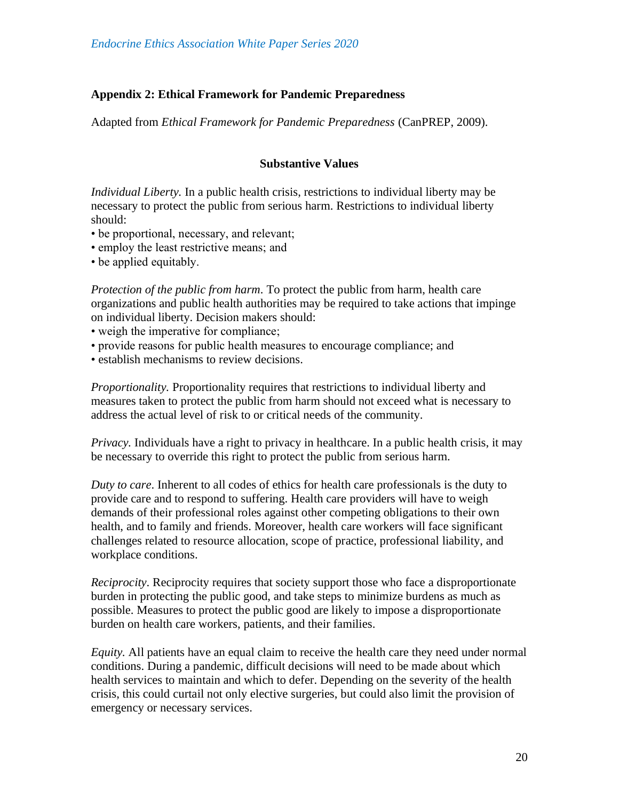## **Appendix 2: Ethical Framework for Pandemic Preparedness**

Adapted from *Ethical Framework for Pandemic Preparedness* (CanPREP, 2009).

## **Substantive Values**

*Individual Liberty.* In a public health crisis, restrictions to individual liberty may be necessary to protect the public from serious harm. Restrictions to individual liberty should:

- be proportional, necessary, and relevant;
- employ the least restrictive means; and
- be applied equitably.

*Protection of the public from harm.* To protect the public from harm, health care organizations and public health authorities may be required to take actions that impinge on individual liberty. Decision makers should:

- weigh the imperative for compliance;
- provide reasons for public health measures to encourage compliance; and
- establish mechanisms to review decisions.

*Proportionality.* Proportionality requires that restrictions to individual liberty and measures taken to protect the public from harm should not exceed what is necessary to address the actual level of risk to or critical needs of the community.

*Privacy.* Individuals have a right to privacy in healthcare. In a public health crisis, it may be necessary to override this right to protect the public from serious harm.

*Duty to care*. Inherent to all codes of ethics for health care professionals is the duty to provide care and to respond to suffering. Health care providers will have to weigh demands of their professional roles against other competing obligations to their own health, and to family and friends. Moreover, health care workers will face significant challenges related to resource allocation, scope of practice, professional liability, and workplace conditions.

*Reciprocity*. Reciprocity requires that society support those who face a disproportionate burden in protecting the public good, and take steps to minimize burdens as much as possible. Measures to protect the public good are likely to impose a disproportionate burden on health care workers, patients, and their families.

*Equity.* All patients have an equal claim to receive the health care they need under normal conditions. During a pandemic, difficult decisions will need to be made about which health services to maintain and which to defer. Depending on the severity of the health crisis, this could curtail not only elective surgeries, but could also limit the provision of emergency or necessary services.